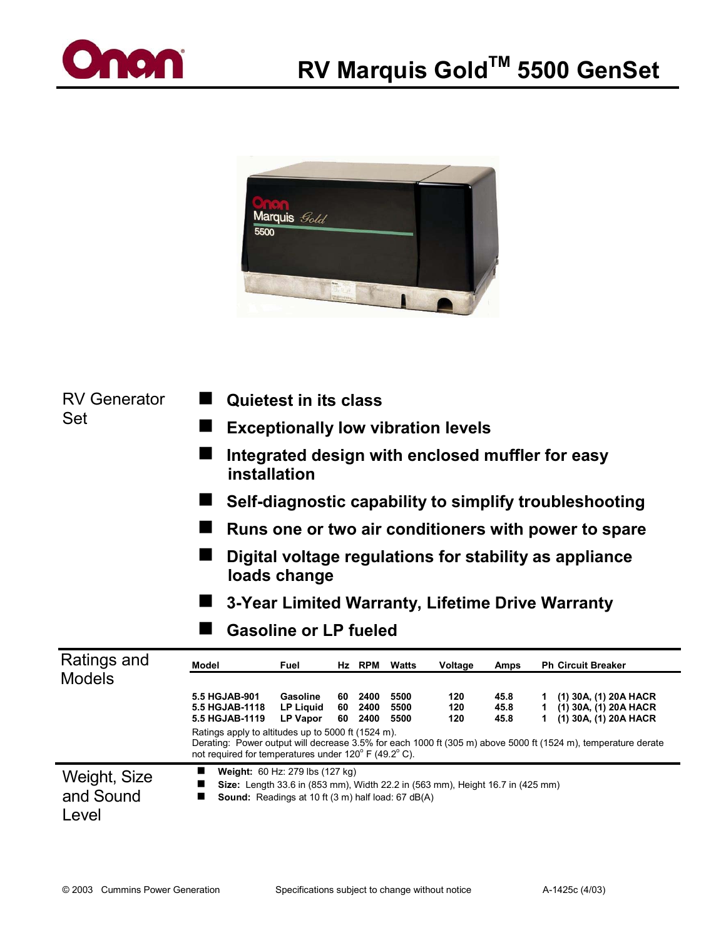



RV Generator Set

- -**Quietest in its class**
- -**Exceptionally low vibration levels**
- Integrated design with enclosed muffler for easy **installation**
- -**Self-diagnostic capability to simplify troubleshooting**
- Runs one or two air conditioners with power to spare
- Digital voltage regulations for stability as appliance **loads change**

-**3-Year Limited Warranty, Lifetime Drive Warranty**

**E** Gasoline or LP fueled

| Ratings and<br><b>Models</b>       | Model                                                                                                                                                                                         | Fuel                                            |                | Hz RPM               | Watts                | Voltage           | Amps                 | <b>Ph Circuit Breaker</b>                                                                                                                                                                |
|------------------------------------|-----------------------------------------------------------------------------------------------------------------------------------------------------------------------------------------------|-------------------------------------------------|----------------|----------------------|----------------------|-------------------|----------------------|------------------------------------------------------------------------------------------------------------------------------------------------------------------------------------------|
|                                    | 5.5 HGJAB-901<br>5.5 HGJAB-1118<br>5.5 HGJAB-1119<br>Ratings apply to altitudes up to 5000 ft (1524 m).<br>not required for temperatures under 120° F (49.2° C).                              | Gasoline<br><b>LP Liquid</b><br><b>LP Vapor</b> | 60<br>60<br>60 | 2400<br>2400<br>2400 | 5500<br>5500<br>5500 | 120<br>120<br>120 | 45.8<br>45.8<br>45.8 | (1) 30A, (1) 20A HACR<br>(1) 30A, (1) 20A HACR<br>(1) 30A, (1) 20A HACR<br>Derating: Power output will decrease 3.5% for each 1000 ft (305 m) above 5000 ft (1524 m), temperature derate |
| Weight, Size<br>and Sound<br>Level | Weight: 60 Hz: 279 lbs (127 kg)<br>■<br>Size: Length 33.6 in (853 mm), Width 22.2 in (563 mm), Height 16.7 in (425 mm)<br>■<br><b>Sound:</b> Readings at 10 ft (3 m) half load: 67 dB(A)<br>■ |                                                 |                |                      |                      |                   |                      |                                                                                                                                                                                          |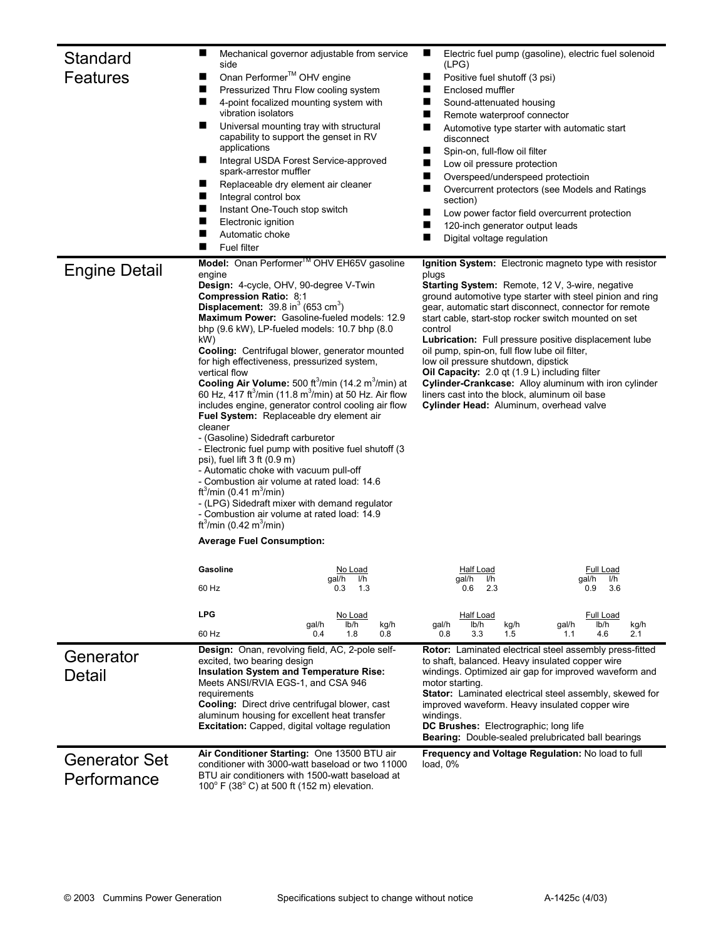| Standard<br><b>Features</b>         | side<br>Onan Performer <sup>™</sup> OHV engine<br>п<br>ш<br>ш<br>vibration isolators<br>ш<br>applications<br>■<br>spark-arrestor muffler<br>ш<br>ш<br>Integral control box<br>■<br>Instant One-Touch stop switch<br>п<br>Electronic ignition                                                                                                                                                                                                                                                                                                                                                                                                                    | Mechanical governor adjustable from service<br>Pressurized Thru Flow cooling system<br>4-point focalized mounting system with<br>Universal mounting tray with structural<br>capability to support the genset in RV<br>Integral USDA Forest Service-approved<br>Replaceable dry element air cleaner                                                                                                                                                                                                                                                    | ш<br>Electric fuel pump (gasoline), electric fuel solenoid<br>(LPG)<br>Positive fuel shutoff (3 psi)<br>■<br>Enclosed muffler<br>■<br>Sound-attenuated housing<br>■<br>■<br>Remote waterproof connector<br>■<br>Automotive type starter with automatic start<br>disconnect<br>■<br>Spin-on, full-flow oil filter<br>■<br>Low oil pressure protection<br>Overspeed/underspeed protectioin<br>■<br>Overcurrent protectors (see Models and Ratings<br>section)<br>Low power factor field overcurrent protection<br>■<br>120-inch generator output leads                                                                                                                       |  |  |  |
|-------------------------------------|-----------------------------------------------------------------------------------------------------------------------------------------------------------------------------------------------------------------------------------------------------------------------------------------------------------------------------------------------------------------------------------------------------------------------------------------------------------------------------------------------------------------------------------------------------------------------------------------------------------------------------------------------------------------|-------------------------------------------------------------------------------------------------------------------------------------------------------------------------------------------------------------------------------------------------------------------------------------------------------------------------------------------------------------------------------------------------------------------------------------------------------------------------------------------------------------------------------------------------------|----------------------------------------------------------------------------------------------------------------------------------------------------------------------------------------------------------------------------------------------------------------------------------------------------------------------------------------------------------------------------------------------------------------------------------------------------------------------------------------------------------------------------------------------------------------------------------------------------------------------------------------------------------------------------|--|--|--|
|                                     | Automatic choke<br><b>Fuel filter</b>                                                                                                                                                                                                                                                                                                                                                                                                                                                                                                                                                                                                                           |                                                                                                                                                                                                                                                                                                                                                                                                                                                                                                                                                       | Digital voltage regulation<br>■                                                                                                                                                                                                                                                                                                                                                                                                                                                                                                                                                                                                                                            |  |  |  |
| <b>Engine Detail</b>                | engine<br><b>Design:</b> 4-cycle, OHV, 90-degree V-Twin<br><b>Compression Ratio: 8:1</b><br><b>Displacement:</b> $39.8$ in <sup>3</sup> (653 cm <sup>3</sup> )<br>kW)<br>for high effectiveness, pressurized system,<br>vertical flow<br>Fuel System: Replaceable dry element air<br>cleaner<br>- (Gasoline) Sidedraft carburetor<br>psi), fuel lift $3$ ft $(0.9 \text{ m})$<br>- Automatic choke with vacuum pull-off<br>- Combustion air volume at rated load: 14.6<br>ft <sup>3</sup> /min (0.41 m <sup>3</sup> /min)<br>- Combustion air volume at rated load: 14.9<br>ft <sup>3</sup> /min (0.42 m <sup>3</sup> /min)<br><b>Average Fuel Consumption:</b> | Model: Onan Performer <sup>™</sup> OHV EH65V gasoline<br>Maximum Power: Gasoline-fueled models: 12.9<br>bhp (9.6 kW), LP-fueled models: 10.7 bhp (8.0)<br>Cooling: Centrifugal blower, generator mounted<br>Cooling Air Volume: 500 ft <sup>3</sup> /min (14.2 m <sup>3</sup> /min) at<br>60 Hz, $\frac{417 \text{ ft}^3}{\text{min}}$ (11.8 m <sup>3</sup> /min) at 50 Hz. Air flow<br>includes engine, generator control cooling air flow<br>- Electronic fuel pump with positive fuel shutoff (3)<br>- (LPG) Sidedraft mixer with demand regulator | Ignition System: Electronic magneto type with resistor<br>plugs<br><b>Starting System:</b> Remote, 12 V, 3-wire, negative<br>ground automotive type starter with steel pinion and ring<br>gear, automatic start disconnect, connector for remote<br>start cable, start-stop rocker switch mounted on set<br>control<br>Lubrication: Full pressure positive displacement lube<br>oil pump, spin-on, full flow lube oil filter,<br>low oil pressure shutdown, dipstick<br>Oil Capacity: 2.0 gt (1.9 L) including filter<br>Cylinder-Crankcase: Alloy aluminum with iron cylinder<br>liners cast into the block, aluminum oil base<br>Cylinder Head: Aluminum, overhead valve |  |  |  |
|                                     | Gasoline                                                                                                                                                                                                                                                                                                                                                                                                                                                                                                                                                                                                                                                        | No Load                                                                                                                                                                                                                                                                                                                                                                                                                                                                                                                                               | <b>Full Load</b><br><b>Half Load</b>                                                                                                                                                                                                                                                                                                                                                                                                                                                                                                                                                                                                                                       |  |  |  |
|                                     | 60 Hz                                                                                                                                                                                                                                                                                                                                                                                                                                                                                                                                                                                                                                                           | gai/n<br>l/n<br>0.3<br>1.3                                                                                                                                                                                                                                                                                                                                                                                                                                                                                                                            | gai/n<br>l/n<br>gai/n<br>l/h<br>2.3<br>0.9<br>3.6<br>0.6                                                                                                                                                                                                                                                                                                                                                                                                                                                                                                                                                                                                                   |  |  |  |
|                                     | <b>LPG</b>                                                                                                                                                                                                                                                                                                                                                                                                                                                                                                                                                                                                                                                      | <u>No Load</u><br>lb/h<br>kg/h<br>gal/h                                                                                                                                                                                                                                                                                                                                                                                                                                                                                                               | <b>Half Load</b><br>Full Load<br>gal/h<br>lb/h<br>kg/h<br>gal/h<br>lb/h<br>kg/h                                                                                                                                                                                                                                                                                                                                                                                                                                                                                                                                                                                            |  |  |  |
|                                     | 60 Hz                                                                                                                                                                                                                                                                                                                                                                                                                                                                                                                                                                                                                                                           | 0.4<br>1.8<br>0.8                                                                                                                                                                                                                                                                                                                                                                                                                                                                                                                                     | 0.8<br>3.3<br>1.5<br>1.1<br>4.6<br>2.1                                                                                                                                                                                                                                                                                                                                                                                                                                                                                                                                                                                                                                     |  |  |  |
| Generator<br>Detail                 | excited, two bearing design<br><b>Insulation System and Temperature Rise:</b><br>Meets ANSI/RVIA EGS-1, and CSA 946<br>requirements                                                                                                                                                                                                                                                                                                                                                                                                                                                                                                                             | Design: Onan, revolving field, AC, 2-pole self-<br><b>Cooling:</b> Direct drive centrifugal blower, cast<br>aluminum housing for excellent heat transfer<br><b>Excitation:</b> Capped, digital voltage regulation                                                                                                                                                                                                                                                                                                                                     | Rotor: Laminated electrical steel assembly press-fitted<br>to shaft, balanced. Heavy insulated copper wire<br>windings. Optimized air gap for improved waveform and<br>motor starting.<br><b>Stator:</b> Laminated electrical steel assembly, skewed for<br>improved waveform. Heavy insulated copper wire<br>windings.<br><b>DC Brushes:</b> Electrographic; long life<br><b>Bearing:</b> Double-sealed prelubricated ball bearings                                                                                                                                                                                                                                       |  |  |  |
| <b>Generator Set</b><br>Performance | $100^{\circ}$ F (38 $^{\circ}$ C) at 500 ft (152 m) elevation.                                                                                                                                                                                                                                                                                                                                                                                                                                                                                                                                                                                                  | Air Conditioner Starting: One 13500 BTU air<br>conditioner with 3000-watt baseload or two 11000<br>BTU air conditioners with 1500-watt baseload at                                                                                                                                                                                                                                                                                                                                                                                                    | Frequency and Voltage Regulation: No load to full<br>load, $0\%$                                                                                                                                                                                                                                                                                                                                                                                                                                                                                                                                                                                                           |  |  |  |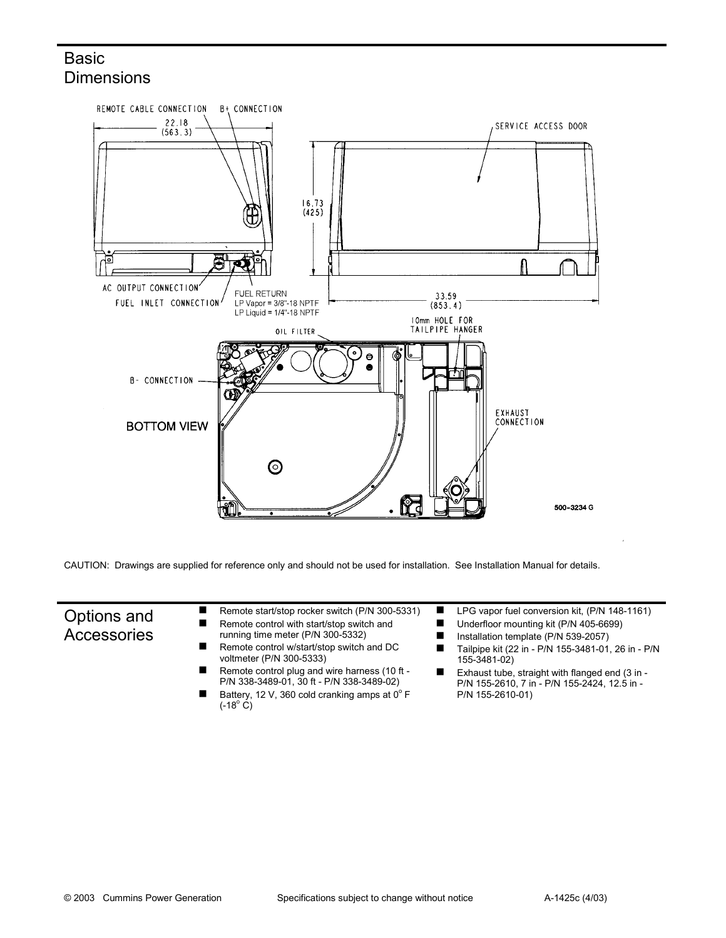## **Basic Dimensions**



CAUTION: Drawings are supplied for reference only and should not be used for installation. See Installation Manual for details.

## Options and **Accessories**

- -Remote start/stop rocker switch (P/N 300-5331) -Remote control with start/stop switch and
- running time meter (P/N 300-5332)
- -Remote control w/start/stop switch and DC voltmeter (P/N 300-5333)
- -Remote control plug and wire harness (10 ft - P/N 338-3489-01, 30 ft - P/N 338-3489-02)
- -Battery, 12 V, 360 cold cranking amps at  $0^{\circ}$  F  $(-18^{\circ} \text{ C})$
- -LPG vapor fuel conversion kit, (P/N 148-1161)
- -Underfloor mounting kit (P/N 405-6699)
- -Installation template (P/N 539-2057)
- -Tailpipe kit (22 in - P/N 155-3481-01, 26 in - P/N 155-3481-02)
- -Exhaust tube, straight with flanged end (3 in - P/N 155-2610, 7 in - P/N 155-2424, 12.5 in - P/N 155-2610-01)